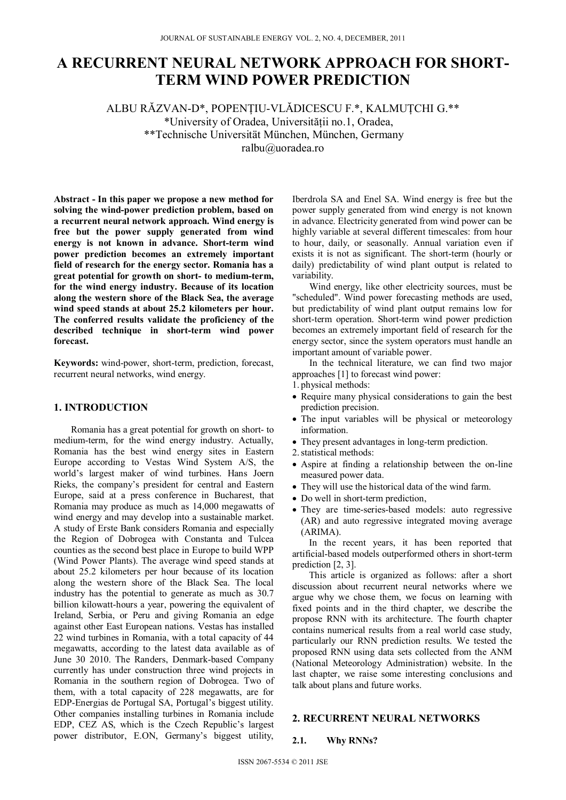# **A RECURRENT NEURAL NETWORK APPROACH FOR SHORT-TERM WIND POWER PREDICTION**

ALBU RĂZVAN-D\*, POPENŢIU-VLĂDICESCU F.\*, KALMUȚCHI G.\*\* \*University of Oradea, Universităţii no.1, Oradea, \*\*Technische Universität München, München, Germany ralbu@uoradea.ro

**Abstract - In this paper we propose a new method for solving the wind-power prediction problem, based on a recurrent neural network approach. Wind energy is free but the power supply generated from wind energy is not known in advance. Short-term wind power prediction becomes an extremely important field of research for the energy sector. Romania has a great potential for growth on short- to medium-term, for the wind energy industry. Because of its location along the western shore of the Black Sea, the average wind speed stands at about 25.2 kilometers per hour. The conferred results validate the proficiency of the described technique in short-term wind power forecast.** 

**Keywords:** wind-power, short-term, prediction, forecast, recurrent neural networks, wind energy.

## **1. INTRODUCTION**

Romania has a great potential for growth on short- to medium-term, for the wind energy industry. Actually, Romania has the best wind energy sites in Eastern Europe according to Vestas Wind System A/S, the world's largest maker of wind turbines. Hans Joern Rieks, the company's president for central and Eastern Europe, said at a press conference in Bucharest, that Romania may produce as much as 14,000 megawatts of wind energy and may develop into a sustainable market. A study of Erste Bank considers Romania and especially the Region of Dobrogea with Constanta and Tulcea counties as the second best place in Europe to build WPP (Wind Power Plants). The average wind speed stands at about 25.2 kilometers per hour because of its location along the western shore of the Black Sea. The local industry has the potential to generate as much as 30.7 billion kilowatt-hours a year, powering the equivalent of Ireland, Serbia, or Peru and giving Romania an edge against other East European nations. Vestas has installed 22 wind turbines in Romania, with a total capacity of 44 megawatts, according to the latest data available as of June 30 2010. The Randers, Denmark-based Company currently has under construction three wind projects in Romania in the southern region of Dobrogea. Two of them, with a total capacity of 228 megawatts, are for EDP-Energias de Portugal SA, Portugal's biggest utility. Other companies installing turbines in Romania include EDP, CEZ AS, which is the Czech Republic's largest power distributor, E.ON, Germany's biggest utility,

Iberdrola SA and Enel SA. Wind energy is free but the power supply generated from wind energy is not known in advance. Electricity generated from wind power can be highly variable at several different timescales: from hour to hour, daily, or seasonally. Annual variation even if exists it is not as significant. The short-term (hourly or daily) predictability of wind plant output is related to variability.

Wind energy, like other electricity sources, must be "scheduled". Wind power forecasting methods are used, but predictability of wind plant output remains low for short-term operation. Short-term wind power prediction becomes an extremely important field of research for the energy sector, since the system operators must handle an important amount of variable power.

In the technical literature, we can find two major approaches [1] to forecast wind power:

- 1. physical methods:
- Require many physical considerations to gain the best prediction precision.
- The input variables will be physical or meteorology information.
- They present advantages in long-term prediction.
- 2.statistical methods:
- Aspire at finding a relationship between the on-line measured power data.
- They will use the historical data of the wind farm.
- Do well in short-term prediction,
- They are time-series-based models: auto regressive (AR) and auto regressive integrated moving average (ARIMA).

In the recent years, it has been reported that artificial-based models outperformed others in short-term prediction [2, 3].

This article is organized as follows: after a short discussion about recurrent neural networks where we argue why we chose them, we focus on learning with fixed points and in the third chapter, we describe the propose RNN with its architecture. The fourth chapter contains numerical results from a real world case study, particularly our RNN prediction results. We tested the proposed RNN using data sets collected from the ANM (National Meteorology Administration) website. In the last chapter, we raise some interesting conclusions and talk about plans and future works.

## **2. RECURRENT NEURAL NETWORKS**

#### **2.1. Why RNNs?**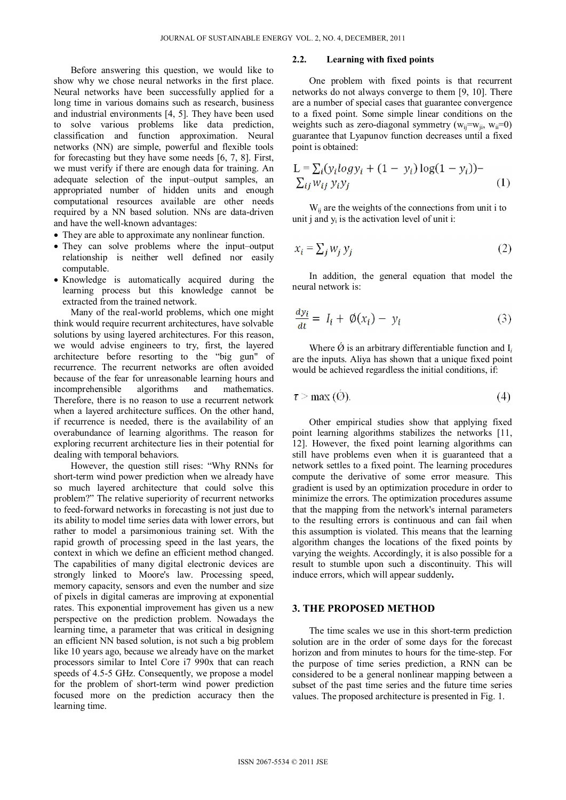Before answering this question, we would like to show why we chose neural networks in the first place. Neural networks have been successfully applied for a long time in various domains such as research, business and industrial environments [4, 5]. They have been used to solve various problems like data prediction, classification and function approximation. Neural networks (NN) are simple, powerful and flexible tools for forecasting but they have some needs [6, 7, 8]. First, we must verify if there are enough data for training. An adequate selection of the input–output samples, an appropriated number of hidden units and enough computational resources available are other needs required by a NN based solution. NNs are data-driven and have the well-known advantages:

- They are able to approximate any nonlinear function.
- They can solve problems where the input–output relationship is neither well defined nor easily computable.
- Knowledge is automatically acquired during the learning process but this knowledge cannot be extracted from the trained network.

Many of the real-world problems, which one might think would require recurrent architectures, have solvable solutions by using layered architectures. For this reason, we would advise engineers to try, first, the layered architecture before resorting to the "big gun" of recurrence. The recurrent networks are often avoided because of the fear for unreasonable learning hours and incomprehensible algorithms and mathematics. Therefore, there is no reason to use a recurrent network when a layered architecture suffices. On the other hand, if recurrence is needed, there is the availability of an overabundance of learning algorithms. The reason for exploring recurrent architecture lies in their potential for dealing with temporal behaviors.

However, the question still rises: "Why RNNs for short-term wind power prediction when we already have so much layered architecture that could solve this problem?" The relative superiority of recurrent networks to feed-forward networks in forecasting is not just due to its ability to model time series data with lower errors, but rather to model a parsimonious training set. With the rapid growth of processing speed in the last years, the context in which we define an efficient method changed. The capabilities of many digital electronic devices are strongly linked to Moore's law. Processing speed, memory capacity, sensors and even the number and size of pixels in digital cameras are improving at exponential rates. This exponential improvement has given us a new perspective on the prediction problem. Nowadays the learning time, a parameter that was critical in designing an efficient NN based solution, is not such a big problem like 10 years ago, because we already have on the market processors similar to Intel Core i7 990x that can reach speeds of 4.5-5 GHz. Consequently, we propose a model for the problem of short-term wind power prediction focused more on the prediction accuracy then the learning time.

#### **2.2. Learning with fixed points**

One problem with fixed points is that recurrent networks do not always converge to them [9, 10]. There are a number of special cases that guarantee convergence to a fixed point. Some simple linear conditions on the weights such as zero-diagonal symmetry ( $w_{ii} = w_{ii}$ ,  $w_{ii} = 0$ ) guarantee that Lyapunov function decreases until a fixed point is obtained:

$$
L = \sum_{i} (y_i \log y_i + (1 - y_i) \log(1 - y_i)) -
$$
  

$$
\sum_{ij} w_{ij} y_i y_j
$$
 (1)

 $W_{ii}$  are the weights of the connections from unit i to unit  $\mathbf i$  and  $\mathbf v_i$  is the activation level of unit i:

$$
x_i = \sum_j w_j y_j \tag{2}
$$

In addition, the general equation that model the neural network is:

$$
\frac{dy_i}{dt} = I_i + \emptyset(x_i) - y_i \tag{3}
$$

Where  $\acute{\varnothing}$  is an arbitrary differentiable function and  $I_i$ are the inputs. Aliya has shown that a unique fixed point would be achieved regardless the initial conditions, if:

$$
\tau > \max(\mathcal{O}).\tag{4}
$$

Other empirical studies show that applying fixed point learning algorithms stabilizes the networks [11, 12]. However, the fixed point learning algorithms can still have problems even when it is guaranteed that a network settles to a fixed point. The learning procedures compute the derivative of some error measure. This gradient is used by an optimization procedure in order to minimize the errors. The optimization procedures assume that the mapping from the network's internal parameters to the resulting errors is continuous and can fail when this assumption is violated. This means that the learning algorithm changes the locations of the fixed points by varying the weights. Accordingly, it is also possible for a result to stumble upon such a discontinuity. This will induce errors, which will appear suddenly**.** 

#### **3. THE PROPOSED METHOD**

The time scales we use in this short-term prediction solution are in the order of some days for the forecast horizon and from minutes to hours for the time-step. For the purpose of time series prediction, a RNN can be considered to be a general nonlinear mapping between a subset of the past time series and the future time series values. The proposed architecture is presented in Fig. 1.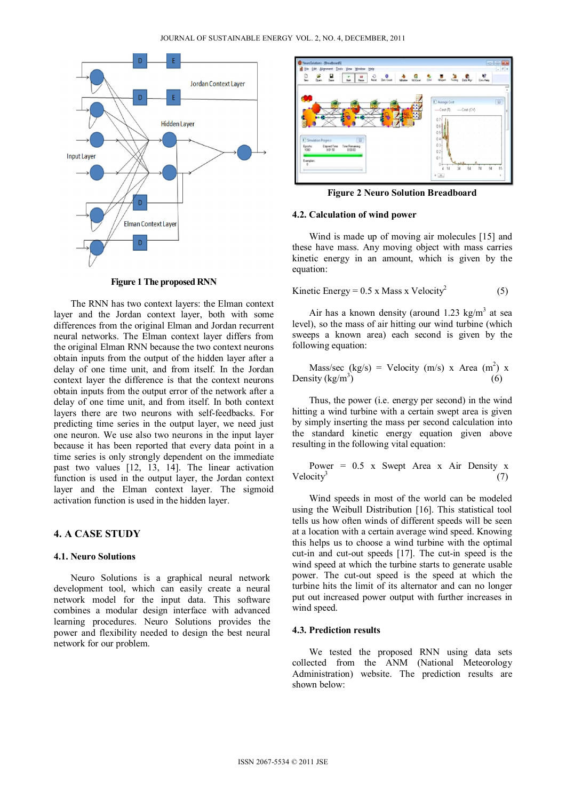

**Figure 1 The proposed RNN** 

The RNN has two context layers: the Elman context layer and the Jordan context layer, both with some differences from the original Elman and Jordan recurrent neural networks. The Elman context layer differs from the original Elman RNN because the two context neurons obtain inputs from the output of the hidden layer after a delay of one time unit, and from itself. In the Jordan context layer the difference is that the context neurons obtain inputs from the output error of the network after a delay of one time unit, and from itself. In both context layers there are two neurons with self-feedbacks. For predicting time series in the output layer, we need just one neuron. We use also two neurons in the input layer because it has been reported that every data point in a time series is only strongly dependent on the immediate past two values [12, 13, 14]. The linear activation function is used in the output layer, the Jordan context layer and the Elman context layer. The sigmoid activation function is used in the hidden layer.

## **4. A CASE STUDY**

## **4.1. Neuro Solutions**

Neuro Solutions is a graphical neural network development tool, which can easily create a neural network model for the input data. This software combines a modular design interface with advanced learning procedures. Neuro Solutions provides the power and flexibility needed to design the best neural network for our problem.



**Figure 2 Neuro Solution Breadboard** 

#### **4.2. Calculation of wind power**

Wind is made up of moving air molecules [15] and these have mass. Any moving object with mass carries kinetic energy in an amount, which is given by the equation:

Kinetic Energy = 
$$
0.5 \times
$$
 Mass x Velocity<sup>2</sup> (5)

Air has a known density (around  $1.23 \text{ kg/m}^3$  at sea level), so the mass of air hitting our wind turbine (which sweeps a known area) each second is given by the following equation:

Mass/sec (kg/s) = Velocity (m/s) x Area (m2 ) x Density (kg/m3 ) (6)

Thus, the power (i.e. energy per second) in the wind hitting a wind turbine with a certain swept area is given by simply inserting the mass per second calculation into the standard kinetic energy equation given above resulting in the following vital equation:

Power =  $0.5$  x Swept Area x Air Density x Velocity<sup>3</sup> (7)

Wind speeds in most of the world can be modeled using the Weibull Distribution [16]. This statistical tool tells us how often winds of different speeds will be seen at a location with a certain average wind speed. Knowing this helps us to choose a wind turbine with the optimal cut-in and cut-out speeds [17]. The cut-in speed is the wind speed at which the turbine starts to generate usable power. The cut-out speed is the speed at which the turbine hits the limit of its alternator and can no longer put out increased power output with further increases in wind speed.

## **4.3. Prediction results**

We tested the proposed RNN using data sets collected from the ANM (National Meteorology Administration) website. The prediction results are shown below: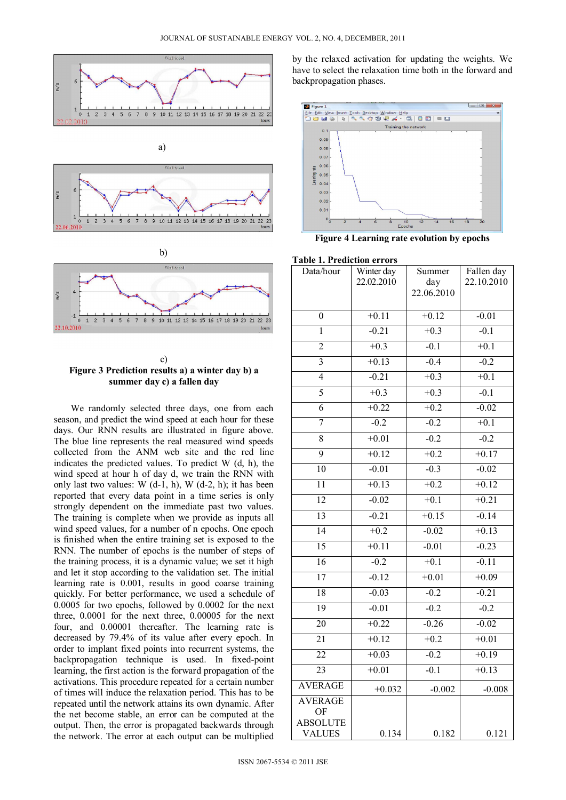







We randomly selected three days, one from each season, and predict the wind speed at each hour for these days. Our RNN results are illustrated in figure above. The blue line represents the real measured wind speeds collected from the ANM web site and the red line indicates the predicted values. To predict  $W$  (d, h), the wind speed at hour h of day d, we train the RNN with only last two values: W  $(d-1, h)$ , W  $(d-2, h)$ ; it has been reported that every data point in a time series is only strongly dependent on the immediate past two values. The training is complete when we provide as inputs all wind speed values, for a number of n epochs. One epoch is finished when the entire training set is exposed to the RNN. The number of epochs is the number of steps of the training process, it is a dynamic value; we set it high and let it stop according to the validation set. The initial learning rate is 0.001, results in good coarse training quickly. For better performance, we used a schedule of 0.0005 for two epochs, followed by 0.0002 for the next three, 0.0001 for the next three, 0.00005 for the next four, and 0.00001 thereafter. The learning rate is decreased by 79.4% of its value after every epoch. In order to implant fixed points into recurrent systems, the backpropagation technique is used. In fixed-point learning, the first action is the forward propagation of the activations. This procedure repeated for a certain number of times will induce the relaxation period. This has to be repeated until the network attains its own dynamic. After the net become stable, an error can be computed at the output. Then, the error is propagated backwards through the network. The error at each output can be multiplied

by the relaxed activation for updating the weights. We have to select the relaxation time both in the forward and backpropagation phases.



**Figure 4 Learning rate evolution by epochs** 

### **Table 1. Prediction errors**

| Data/hour             | Winter day | Summer     | Fallen day |
|-----------------------|------------|------------|------------|
|                       | 22.02.2010 | day        | 22.10.2010 |
|                       |            | 22.06.2010 |            |
| 0                     | $+0.11$    | $+0.12$    | $-0.01$    |
| 1                     | $-0.21$    | $+0.3$     | $-0.1$     |
| 2                     | $+0.3$     | $-0.1$     | $+0.1$     |
| $\overline{3}$        | $+0.13$    | $-0.4$     | $-0.2$     |
| $\overline{4}$        | $-0.21$    | $+0.3$     | $+0.1$     |
| 5                     | $+0.3$     | $+0.3$     | $-0.1$     |
| $\overline{6}$        | $+0.22$    | $+0.2$     | $-0.02$    |
| 7                     | $-0.2$     | $-0.2$     | $+0.1$     |
| $\overline{8}$        | $+0.01$    | $-0.2$     | $-0.2$     |
| $\overline{9}$        | $+0.12$    | $+0.2$     | $+0.17$    |
| 10                    | $-0.01$    | $-0.3$     | $-0.02$    |
| $\overline{11}$       | $+0.13$    | $+0.2$     | $+0.12$    |
| 12                    | $-0.02$    | $+0.1$     | $+0.21$    |
| 13                    | $-0.21$    | $+0.15$    | $-0.14$    |
| 14                    | $+0.2$     | $-0.02$    | $+0.13$    |
| $\overline{15}$       | $+0.11$    | $-0.01$    | $-0.23$    |
| 16                    | $-0.2$     | $+0.1$     | $-0.11$    |
| $\overline{17}$       | $-0.12$    | $+0.01$    | $+0.09$    |
| $\overline{18}$       | $-0.03$    | $-0.2$     | $-0.21$    |
| 19                    | $-0.01$    | $-0.2$     | $-0.2$     |
| $\overline{20}$       | $+0.22$    | $-0.26$    | $-0.02$    |
| 21                    | $+0.12$    | $+0.2$     | $+0.01$    |
| $\overline{22}$       | $+0.03$    | $-0.2$     | $+0.19$    |
| $\overline{23}$       | $+0.01$    | $-0.1$     | $+0.13$    |
| <b>AVERAGE</b>        | $+0.032$   | $-0.002$   | $-0.008$   |
| <b>AVERAGE</b>        |            |            |            |
| OF<br><b>ABSOLUTE</b> |            |            |            |
| <b>VALUES</b>         | 0.134      | 0.182      | 0.121      |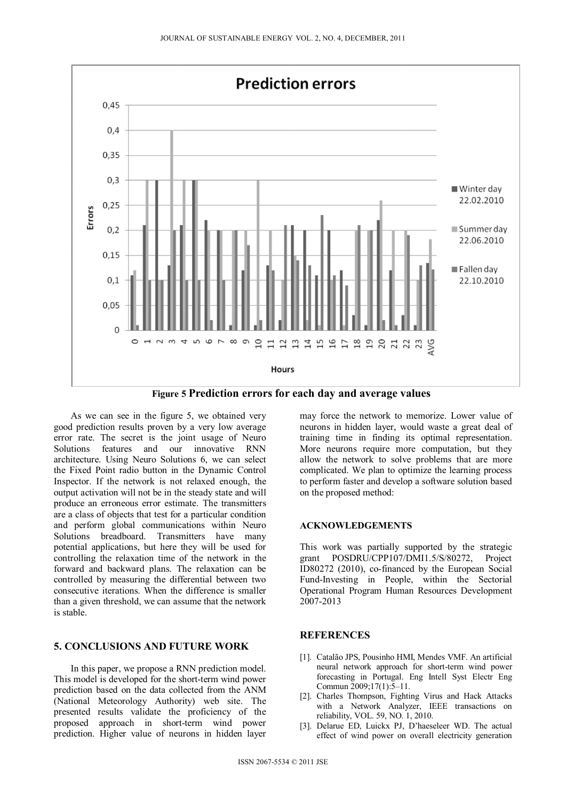

**Figure 5 Prediction errors for each day and average values** 

As we can see in the figure 5, we obtained very good prediction results proven by a very low average error rate. The secret is the joint usage of Neuro Solutions features and our innovative RNN architecture. Using Neuro Solutions 6, we can select the Fixed Point radio button in the Dynamic Control Inspector. If the network is not relaxed enough, the output activation will not be in the steady state and will produce an erroneous error estimate. The transmitters are a class of objects that test for a particular condition and perform global communications within Neuro Solutions breadboard. Transmitters have many potential applications, but here they will be used for controlling the relaxation time of the network in the forward and backward plans. The relaxation can be controlled by measuring the differential between two consecutive iterations. When the difference is smaller than a given threshold, we can assume that the network is stable.

# **5. CONCLUSIONS AND FUTURE WORK**

In this paper, we propose a RNN prediction model. This model is developed for the short-term wind power prediction based on the data collected from the ANM (National Meteorology Authority) web site. The presented results validate the proficiency of the proposed approach in short-term wind power prediction. Higher value of neurons in hidden layer

may force the network to memorize. Lower value of neurons in hidden layer, would waste a great deal of training time in finding its optimal representation. More neurons require more computation, but they allow the network to solve problems that are more complicated. We plan to optimize the learning process to perform faster and develop a software solution based on the proposed method:

### **ACKNOWLEDGEMENTS**

This work was partially supported by the strategic grant POSDRU/CPP107/DMI1.5/S/80272, Project ID80272 (2010), co-financed by the European Social Fund-Investing in People, within the Sectorial Operational Program Human Resources Development 2007-2013

## **REFERENCES**

- [1]. Catalão JPS, Pousinho HMI, Mendes VMF. An artificial neural network approach for short-term wind power forecasting in Portugal. Eng Intell Syst Electr Eng Commun 2009;17(1):5–11.
- [2]. Charles Thompson, Fighting Virus and Hack Attacks with a Network Analyzer, IEEE transactions on reliability, VOL. 59, NO. 1, 2010.
- [3]. Delarue ED, Luickx PJ, D'haeseleer WD. The actual effect of wind power on overall electricity generation